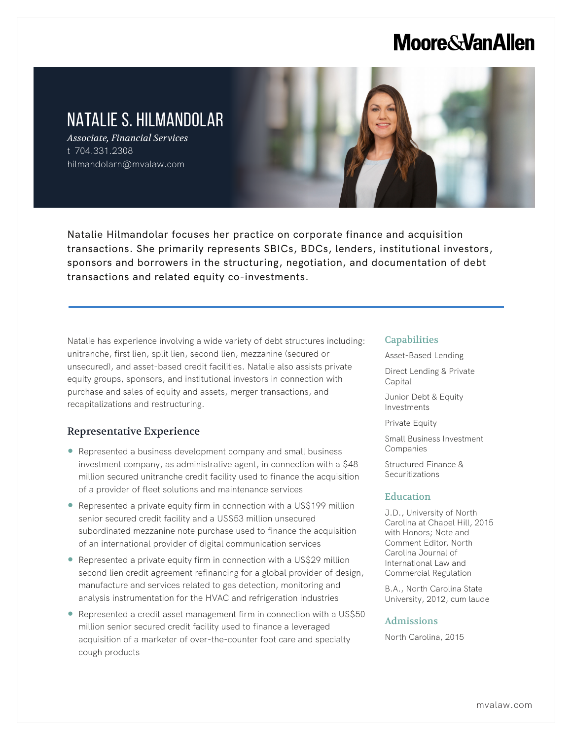# **Moore & Van Allen**

## NATALIE S. HILMANDOLAR

*Associate, Financial Services* t 704.331.2308 hilmandolarn@mvalaw.com

L



Natalie Hilmandolar focuses her practice on corporate finance and acquisition transactions. She primarily represents SBICs, BDCs, lenders, institutional investors, sponsors and borrowers in the structuring, negotiation, and documentation of debt transactions and related equity co-investments.

Natalie has experience involving a wide variety of debt structures including: unitranche, first lien, split lien, second lien, mezzanine (secured or unsecured), and asset-based credit facilities. Natalie also assists private equity groups, sponsors, and institutional investors in connection with purchase and sales of equity and assets, merger transactions, and recapitalizations and restructuring.

### Representative Experience

- Represented a business development company and small business investment company, as administrative agent, in connection with a \$48 million secured unitranche credit facility used to finance the acquisition of a provider of fleet solutions and maintenance services
- Represented a private equity firm in connection with a US\$199 million senior secured credit facility and a US\$53 million unsecured subordinated mezzanine note purchase used to finance the acquisition of an international provider of digital communication services
- Represented a private equity firm in connection with a US\$29 million second lien credit agreement refinancing for a global provider of design, manufacture and services related to gas detection, monitoring and analysis instrumentation for the HVAC and refrigeration industries
- Represented a credit asset management firm in connection with a US\$50 million senior secured credit facility used to finance a leveraged acquisition of a marketer of over-the-counter foot care and specialty cough products

#### **Capabilities**

Asset-Based Lending

Direct Lending & Private **Capital** 

Junior Debt & Equity Investments

Private Equity

Small Business Investment Companies

Structured Finance & Securitizations

#### Education

J.D., University of North Carolina at Chapel Hill, 2015 with Honors; Note and Comment Editor, North Carolina Journal of International Law and Commercial Regulation

B.A., North Carolina State University, 2012, cum laude

#### Admissions

North Carolina, 2015